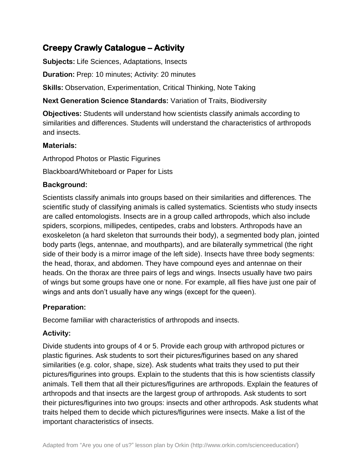# **Creepy Crawly Catalogue – Activity**

**Subjects:** Life Sciences, Adaptations, Insects

**Duration:** Prep: 10 minutes; Activity: 20 minutes

**Skills:** Observation, Experimentation, Critical Thinking, Note Taking

**Next Generation Science Standards:** Variation of Traits, Biodiversity

**Objectives:** Students will understand how scientists classify animals according to similarities and differences. Students will understand the characteristics of arthropods and insects.

#### **Materials:**

Arthropod Photos or Plastic Figurines

Blackboard/Whiteboard or Paper for Lists

## **Background:**

Scientists classify animals into groups based on their similarities and differences. The scientific study of classifying animals is called systematics. Scientists who study insects are called entomologists. Insects are in a group called arthropods, which also include spiders, scorpions, millipedes, centipedes, crabs and lobsters. Arthropods have an exoskeleton (a hard skeleton that surrounds their body), a segmented body plan, jointed body parts (legs, antennae, and mouthparts), and are bilaterally symmetrical (the right side of their body is a mirror image of the left side). Insects have three body segments: the head, thorax, and abdomen. They have compound eyes and antennae on their heads. On the thorax are three pairs of legs and wings. Insects usually have two pairs of wings but some groups have one or none. For example, all flies have just one pair of wings and ants don't usually have any wings (except for the queen).

## **Preparation:**

Become familiar with characteristics of arthropods and insects.

## **Activity:**

Divide students into groups of 4 or 5. Provide each group with arthropod pictures or plastic figurines. Ask students to sort their pictures/figurines based on any shared similarities (e.g. color, shape, size). Ask students what traits they used to put their pictures/figurines into groups. Explain to the students that this is how scientists classify animals. Tell them that all their pictures/figurines are arthropods. Explain the features of arthropods and that insects are the largest group of arthropods. Ask students to sort their pictures/figurines into two groups: insects and other arthropods. Ask students what traits helped them to decide which pictures/figurines were insects. Make a list of the important characteristics of insects.